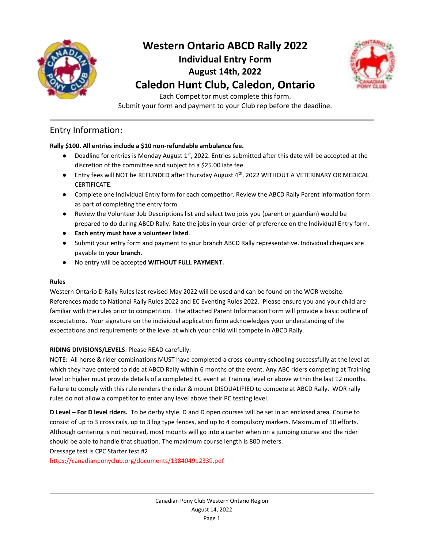



Each Competitor must complete this form. Submit your form and payment to your Club rep before the deadline.

#### Entry Information:

#### **Rally \$100. All entries include a \$10 non-refundable ambulance fee.**

- Deadline for entries is Monday August  $1<sup>st</sup>$ , 2022. Entries submitted after this date will be accepted at the discretion of the committee and subject to a \$25.00 late fee.
- Entry fees will NOT be REFUNDED after Thursday August 4<sup>th</sup>, 2022 WITHOUT A VETERINARY OR MEDICAL CERTIFICATE.
- Complete one Individual Entry form for each competitor. Review the ABCD Rally Parent information form as part of completing the entry form.
- Review the Volunteer Job Descriptions list and select two jobs you (parent or guardian) would be prepared to do during ABCD Rally. Rate the jobs in your order of preference on the Individual Entry form.
- **Each entry must have a volunteer listed**.
- Submit your entry form and payment to your branch ABCD Rally representative. Individual cheques are payable to **your branch**.
- No entry will be accepted **WITHOUT FULL PAYMENT.**

#### **Rules**

Western Ontario D Rally Rules last revised May 2022 will be used and can be found on the WOR website. References made to National Rally Rules 2022 and EC Eventing Rules 2022. Please ensure you and your child are familiar with the rules prior to competition. The attached Parent Information Form will provide a basic outline of expectations. Your signature on the individual application form acknowledges your understanding of the expectations and requirements of the level at which your child will compete in ABCD Rally.

#### **RIDING DIVISIONS/LEVELS**: Please READ carefully:

NOTE: All horse & rider combinations MUST have completed a cross-country schooling successfully at the level at which they have entered to ride at ABCD Rally within 6 months of the event. Any ABC riders competing at Training level or higher must provide details of a completed EC event at Training level or above within the last 12 months. Failure to comply with this rule renders the rider & mount DISQUALIFIED to compete at ABCD Rally. WOR rally rules do not allow a competitor to enter any level above their PC testing level.

**D Level – For D level riders.** To be derby style. D and D open courses will be set in an enclosed area. Course to consist of up to 3 cross rails, up to 3 log type fences, and up to 4 compulsory markers. Maximum of 10 efforts. Although cantering is not required, most mounts will go into a canter when on a jumping course and the rider should be able to handle that situation. The maximum course length is 800 meters.

Dressage test is CPC Starter test #2

https://canadianponyclub.org/documents/138404912339.pdf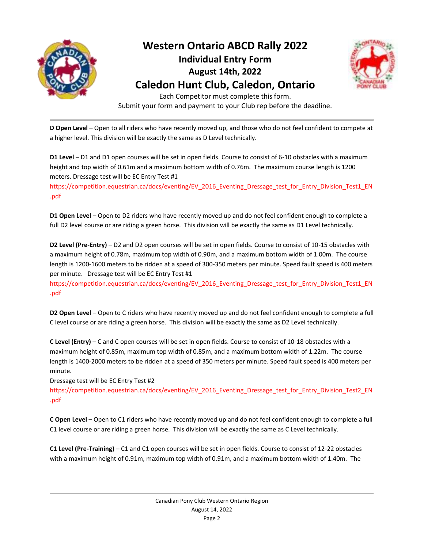



Each Competitor must complete this form. Submit your form and payment to your Club rep before the deadline.

**D Open Level** – Open to all riders who have recently moved up, and those who do not feel confident to compete at a higher level. This division will be exactly the same as D Level technically.

**D1 Level** – D1 and D1 open courses will be set in open fields. Course to consist of 6-10 obstacles with a maximum height and top width of 0.61m and a maximum bottom width of 0.76m. The maximum course length is 1200 meters. Dressage test will be EC Entry Test #1

https://competition.equestrian.ca/docs/eventing/EV\_2016\_Eventing\_Dressage\_test\_for\_Entry\_Division\_Test1\_EN .pdf

**D1 Open Level** – Open to D2 riders who have recently moved up and do not feel confident enough to complete a full D2 level course or are riding a green horse. This division will be exactly the same as D1 Level technically.

**D2 Level (Pre-Entry)** – D2 and D2 open courses will be set in open fields. Course to consist of 10-15 obstacles with a maximum height of 0.78m, maximum top width of 0.90m, and a maximum bottom width of 1.00m. The course length is 1200-1600 meters to be ridden at a speed of 300-350 meters per minute. Speed fault speed is 400 meters per minute. Dressage test will be EC Entry Test #1

https://competition.equestrian.ca/docs/eventing/EV\_2016\_Eventing\_Dressage\_test\_for\_Entry\_Division\_Test1\_EN .pdf

**D2 Open Level** – Open to C riders who have recently moved up and do not feel confident enough to complete a full C level course or are riding a green horse. This division will be exactly the same as D2 Level technically.

**C Level (Entry)** – C and C open courses will be set in open fields. Course to consist of 10-18 obstacles with a maximum height of 0.85m, maximum top width of 0.85m, and a maximum bottom width of 1.22m. The course length is 1400-2000 meters to be ridden at a speed of 350 meters per minute. Speed fault speed is 400 meters per minute.

Dressage test will be EC Entry Test #2

https://competition.equestrian.ca/docs/eventing/EV\_2016\_Eventing\_Dressage\_test\_for\_Entry\_Division\_Test2\_EN .pdf

**C Open Level** – Open to C1 riders who have recently moved up and do not feel confident enough to complete a full C1 level course or are riding a green horse. This division will be exactly the same as C Level technically.

**C1 Level (Pre-Training)** – C1 and C1 open courses will be set in open fields. Course to consist of 12-22 obstacles with a maximum height of 0.91m, maximum top width of 0.91m, and a maximum bottom width of 1.40m. The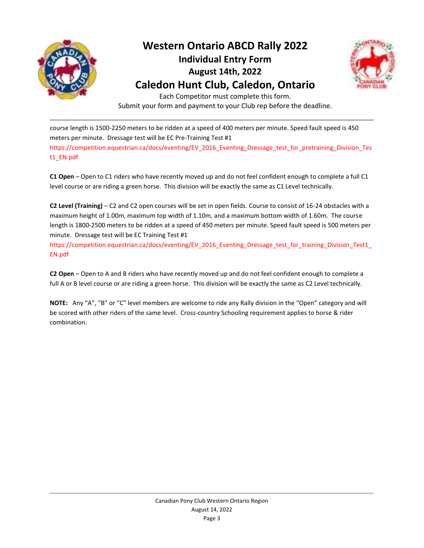



Each Competitor must complete this form. Submit your form and payment to your Club rep before the deadline.

course length is 1500-2250 meters to be ridden at a speed of 400 meters per minute. Speed fault speed is 450 meters per minute. Dressage test will be EC Pre-Training Test #1 https://competition.equestrian.ca/docs/eventing/EV\_2016\_Eventing\_Dressage\_test\_for\_pretraining\_Division\_Tes t1\_EN.pdf

**C1 Open** – Open to C1 riders who have recently moved up and do not feel confident enough to complete a full C1 level course or are riding a green horse. This division will be exactly the same as C1 Level technically.

**C2 Level (Training)** – C2 and C2 open courses will be set in open fields. Course to consist of 16-24 obstacles with a maximum height of 1.00m, maximum top width of 1.10m, and a maximum bottom width of 1.60m. The course length is 1800-2500 meters to be ridden at a speed of 450 meters per minute. Speed fault speed is 500 meters per minute. Dressage test will be EC Training Test #1

https://competition.equestrian.ca/docs/eventing/EV\_2016\_Eventing\_Dressage\_test\_for\_training\_Division\_Test1\_ EN.pdf

**C2 Open** – Open to A and B riders who have recently moved up and do not feel confident enough to complete a full A or B level course or are riding a green horse. This division will be exactly the same as C2 Level technically.

**NOTE:** Any "A", "B" or "C" level members are welcome to ride any Rally division in the "Open" category and will be scored with other riders of the same level. Cross-country Schooling requirement applies to horse & rider combination.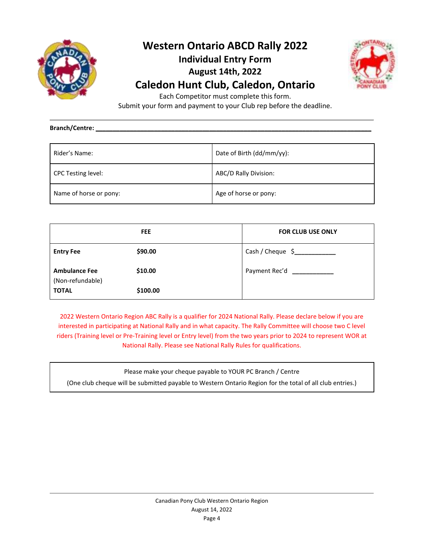



Each Competitor must complete this form.

Submit your form and payment to your Club rep before the deadline.

**Branch/Centre: \_\_\_\_\_\_\_\_\_\_\_\_\_\_\_\_\_\_\_\_\_\_\_\_\_\_\_\_\_\_\_\_\_\_\_\_\_\_\_\_\_\_\_\_\_\_\_\_\_\_\_\_\_\_\_\_\_\_\_\_\_\_\_\_\_\_\_\_\_\_\_\_\_\_\_\_\_\_\_\_**

| Rider's Name:             | Date of Birth (dd/mm/yy): |
|---------------------------|---------------------------|
| <b>CPC Testing level:</b> | ABC/D Rally Division:     |
| Name of horse or pony:    | Age of horse or pony:     |

|                                          | <b>FEE</b> | <b>FOR CLUB USE ONLY</b>       |
|------------------------------------------|------------|--------------------------------|
| <b>Entry Fee</b>                         | \$90.00    | Cash / Cheque \$______________ |
| <b>Ambulance Fee</b><br>(Non-refundable) | \$10.00    | Payment Rec'd                  |
| <b>TOTAL</b>                             | \$100.00   |                                |

2022 Western Ontario Region ABC Rally is a qualifier for 2024 National Rally. Please declare below if you are interested in participating at National Rally and in what capacity. The Rally Committee will choose two C level riders (Training level or Pre-Training level or Entry level) from the two years prior to 2024 to represent WOR at National Rally. Please see National Rally Rules for qualifications.

Please make your cheque payable to YOUR PC Branch / Centre

(One club cheque will be submitted payable to Western Ontario Region for the total of all club entries.)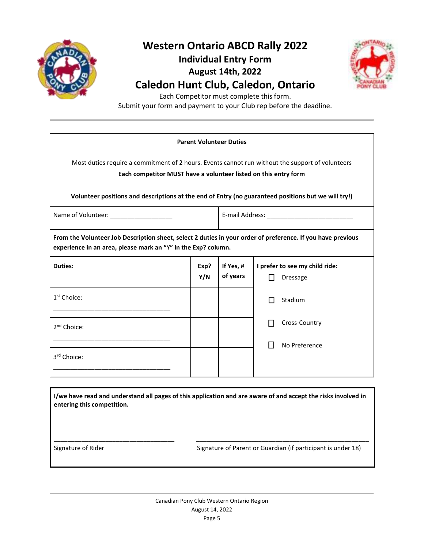



Each Competitor must complete this form.

Submit your form and payment to your Club rep before the deadline.

| <b>Parent Volunteer Duties</b>                                                                                                                                                                                                                                             |             |                       |                                                   |
|----------------------------------------------------------------------------------------------------------------------------------------------------------------------------------------------------------------------------------------------------------------------------|-------------|-----------------------|---------------------------------------------------|
| Most duties require a commitment of 2 hours. Events cannot run without the support of volunteers<br>Each competitor MUST have a volunteer listed on this entry form<br>Volunteer positions and descriptions at the end of Entry (no guaranteed positions but we will try!) |             |                       |                                                   |
| Name of Volunteer: ____________________                                                                                                                                                                                                                                    |             |                       |                                                   |
| From the Volunteer Job Description sheet, select 2 duties in your order of preference. If you have previous<br>experience in an area, please mark an "Y" in the Exp? column.                                                                                               |             |                       |                                                   |
| <b>Duties:</b>                                                                                                                                                                                                                                                             | Exp?<br>Y/N | If Yes, #<br>of years | I prefer to see my child ride:<br><b>Dressage</b> |
| 1 <sup>st</sup> Choice:                                                                                                                                                                                                                                                    |             |                       | Stadium<br>l 1                                    |
| 2 <sup>nd</sup> Choice:                                                                                                                                                                                                                                                    |             |                       | Cross-Country                                     |
| 3 <sup>rd</sup> Choice:                                                                                                                                                                                                                                                    |             |                       | No Preference                                     |
|                                                                                                                                                                                                                                                                            |             |                       |                                                   |

**I/we have read and understand all pages of this application and are aware of and accept the risks involved in entering this competition.**

\_\_\_\_\_\_\_\_\_\_\_\_\_\_\_\_\_\_\_\_\_\_\_\_\_\_\_\_\_\_\_\_\_\_\_ \_\_\_\_\_\_\_\_\_\_\_\_\_\_\_\_\_\_\_\_\_\_\_\_\_\_\_\_\_\_\_\_\_\_\_\_\_\_\_\_\_\_\_\_\_\_\_\_\_\_

Signature of Rider Signature of Parent or Guardian (if participant is under 18)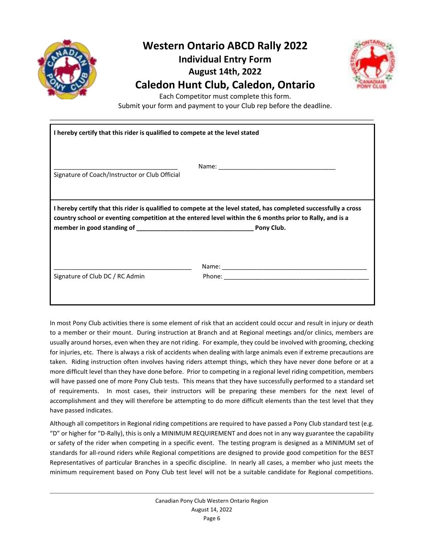



Each Competitor must complete this form.

Submit your form and payment to your Club rep before the deadline.

| I hereby certify that this rider is qualified to compete at the level stated                                                                                                                                                               |  |  |
|--------------------------------------------------------------------------------------------------------------------------------------------------------------------------------------------------------------------------------------------|--|--|
| Signature of Coach/Instructor or Club Official                                                                                                                                                                                             |  |  |
| I hereby certify that this rider is qualified to compete at the level stated, has completed successfully a cross<br>country school or eventing competition at the entered level within the 6 months prior to Rally, and is a<br>Pony Club. |  |  |
| Signature of Club DC / RC Admin                                                                                                                                                                                                            |  |  |

In most Pony Club activities there is some element of risk that an accident could occur and result in injury or death to a member or their mount. During instruction at Branch and at Regional meetings and/or clinics, members are usually around horses, even when they are not riding. For example, they could be involved with grooming, checking for injuries, etc. There is always a risk of accidents when dealing with large animals even if extreme precautions are taken. Riding instruction often involves having riders attempt things, which they have never done before or at a more difficult level than they have done before. Prior to competing in a regional level riding competition, members will have passed one of more Pony Club tests. This means that they have successfully performed to a standard set of requirements. In most cases, their instructors will be preparing these members for the next level of accomplishment and they will therefore be attempting to do more difficult elements than the test level that they have passed indicates.

Although all competitors in Regional riding competitions are required to have passed a Pony Club standard test (e.g. "D" or higher for "D-Rally), this is only a MINIMUM REQUIREMENT and does not in any way guarantee the capability or safety of the rider when competing in a specific event. The testing program is designed as a MINIMUM set of standards for all-round riders while Regional competitions are designed to provide good competition for the BEST Representatives of particular Branches in a specific discipline. In nearly all cases, a member who just meets the minimum requirement based on Pony Club test level will not be a suitable candidate for Regional competitions.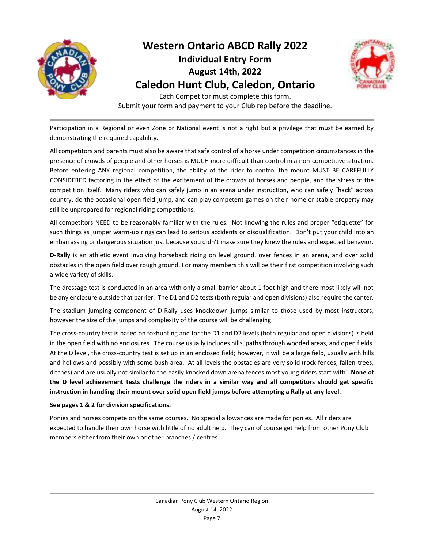



Each Competitor must complete this form. Submit your form and payment to your Club rep before the deadline.

Participation in a Regional or even Zone or National event is not a right but a privilege that must be earned by demonstrating the required capability.

All competitors and parents must also be aware that safe control of a horse under competition circumstances in the presence of crowds of people and other horses is MUCH more difficult than control in a non-competitive situation. Before entering ANY regional competition, the ability of the rider to control the mount MUST BE CAREFULLY CONSIDERED factoring in the effect of the excitement of the crowds of horses and people, and the stress of the competition itself. Many riders who can safely jump in an arena under instruction, who can safely "hack" across country, do the occasional open field jump, and can play competent games on their home or stable property may still be unprepared for regional riding competitions.

All competitors NEED to be reasonably familiar with the rules. Not knowing the rules and proper "etiquette" for such things as jumper warm-up rings can lead to serious accidents or disqualification. Don't put your child into an embarrassing or dangerous situation just because you didn't make sure they knew the rules and expected behavior.

**D-Rally** is an athletic event involving horseback riding on level ground, over fences in an arena, and over solid obstacles in the open field over rough ground. For many members this will be their first competition involving such a wide variety of skills.

The dressage test is conducted in an area with only a small barrier about 1 foot high and there most likely will not be any enclosure outside that barrier. The D1 and D2 tests (both regular and open divisions) also require the canter.

The stadium jumping component of D-Rally uses knockdown jumps similar to those used by most instructors, however the size of the jumps and complexity of the course will be challenging.

The cross-country test is based on foxhunting and for the D1 and D2 levels (both regular and open divisions) is held in the open field with no enclosures. The course usually includes hills, paths through wooded areas, and open fields. At the D level, the cross-country test is set up in an enclosed field; however, it will be a large field, usually with hills and hollows and possibly with some bush area. At all levels the obstacles are very solid (rock fences, fallen trees, ditches) and are usually not similar to the easily knocked down arena fences most young riders start with. **None of the D level achievement tests challenge the riders in a similar way and all competitors should get specific instruction in handling their mount over solid open field jumps before attempting a Rally at any level.**

#### **See pages 1 & 2 for division specifications.**

Ponies and horses compete on the same courses. No special allowances are made for ponies. All riders are expected to handle their own horse with little of no adult help. They can of course get help from other Pony Club members either from their own or other branches / centres.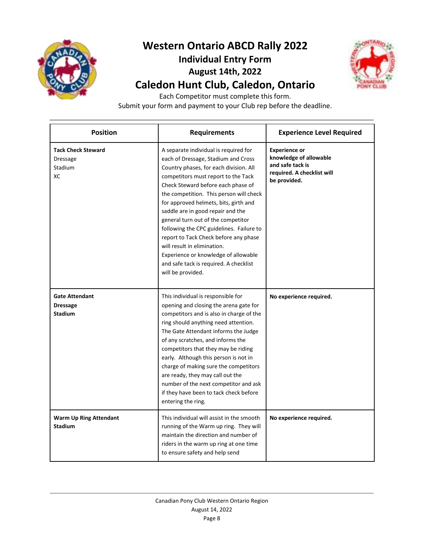



Each Competitor must complete this form.

Submit your form and payment to your Club rep before the deadline.

| <b>Position</b>                                            | <b>Requirements</b>                                                                                                                                                                                                                                                                                                                                                                                                                                                                                                                                                                           | <b>Experience Level Required</b>                                                                                 |
|------------------------------------------------------------|-----------------------------------------------------------------------------------------------------------------------------------------------------------------------------------------------------------------------------------------------------------------------------------------------------------------------------------------------------------------------------------------------------------------------------------------------------------------------------------------------------------------------------------------------------------------------------------------------|------------------------------------------------------------------------------------------------------------------|
| <b>Tack Check Steward</b><br>Dressage<br>Stadium<br>ХC     | A separate individual is required for<br>each of Dressage, Stadium and Cross<br>Country phases, for each division. All<br>competitors must report to the Tack<br>Check Steward before each phase of<br>the competition. This person will check<br>for approved helmets, bits, girth and<br>saddle are in good repair and the<br>general turn out of the competitor<br>following the CPC guidelines. Failure to<br>report to Tack Check before any phase<br>will result in elimination.<br>Experience or knowledge of allowable<br>and safe tack is required. A checklist<br>will be provided. | <b>Experience or</b><br>knowledge of allowable<br>and safe tack is<br>required. A checklist will<br>be provided. |
| <b>Gate Attendant</b><br><b>Dressage</b><br><b>Stadium</b> | This individual is responsible for<br>opening and closing the arena gate for<br>competitors and is also in charge of the<br>ring should anything need attention.<br>The Gate Attendant informs the Judge<br>of any scratches, and informs the<br>competitors that they may be riding<br>early. Although this person is not in<br>charge of making sure the competitors<br>are ready, they may call out the<br>number of the next competitor and ask<br>if they have been to tack check before<br>entering the ring.                                                                           | No experience required.                                                                                          |
| <b>Warm Up Ring Attendant</b><br><b>Stadium</b>            | This individual will assist in the smooth<br>running of the Warm up ring. They will<br>maintain the direction and number of<br>riders in the warm up ring at one time<br>to ensure safety and help send                                                                                                                                                                                                                                                                                                                                                                                       | No experience required.                                                                                          |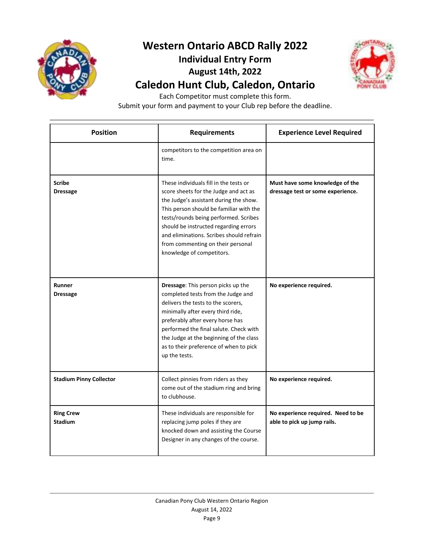



Each Competitor must complete this form.

Submit your form and payment to your Club rep before the deadline.

| <b>Position</b>                    | <b>Requirements</b>                                                                                                                                                                                                                                                                                                                                                  | <b>Experience Level Required</b>                                     |
|------------------------------------|----------------------------------------------------------------------------------------------------------------------------------------------------------------------------------------------------------------------------------------------------------------------------------------------------------------------------------------------------------------------|----------------------------------------------------------------------|
|                                    | competitors to the competition area on<br>time.                                                                                                                                                                                                                                                                                                                      |                                                                      |
| <b>Scribe</b><br><b>Dressage</b>   | These individuals fill in the tests or<br>score sheets for the Judge and act as<br>the Judge's assistant during the show.<br>This person should be familiar with the<br>tests/rounds being performed. Scribes<br>should be instructed regarding errors<br>and eliminations. Scribes should refrain<br>from commenting on their personal<br>knowledge of competitors. | Must have some knowledge of the<br>dressage test or some experience. |
| Runner<br><b>Dressage</b>          | Dressage: This person picks up the<br>completed tests from the Judge and<br>delivers the tests to the scorers,<br>minimally after every third ride,<br>preferably after every horse has<br>performed the final salute. Check with<br>the Judge at the beginning of the class<br>as to their preference of when to pick<br>up the tests.                              | No experience required.                                              |
| <b>Stadium Pinny Collector</b>     | Collect pinnies from riders as they<br>come out of the stadium ring and bring<br>to clubhouse.                                                                                                                                                                                                                                                                       | No experience required.                                              |
| <b>Ring Crew</b><br><b>Stadium</b> | These individuals are responsible for<br>replacing jump poles if they are<br>knocked down and assisting the Course<br>Designer in any changes of the course.                                                                                                                                                                                                         | No experience required. Need to be<br>able to pick up jump rails.    |